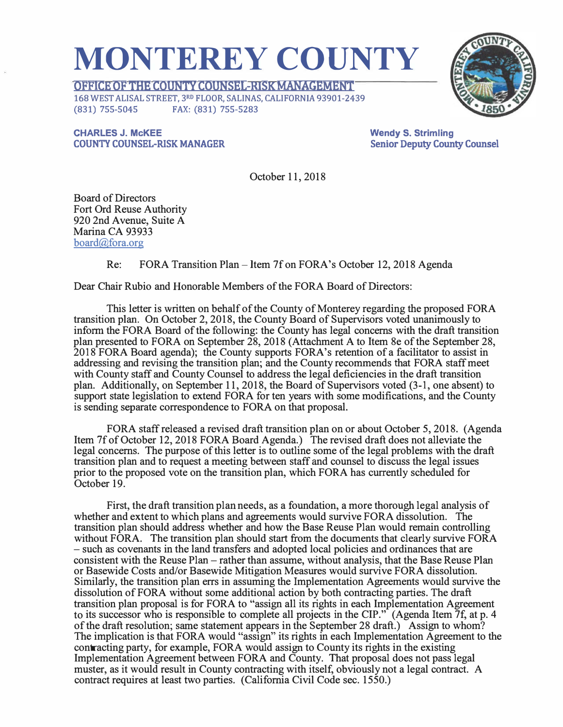## **MONTEREY COUNTY**

**OFFICE OF THE COUNTY COUNSEL-RISK MANAGEMENT**  168 WEST ALISAL STREET, 3RD FLOOR, SALINAS, CALIFORNIA 93901-2439 (831) 755-5045 FAX: (831) 755-5283

**CHARLES J. McKEE COUNTY COUNSEL-RISK MANAGER**  **Wendy S. Strimling Senior Deputy County Counsel** 

October 11, 2018

Board of Directors Fort Ord Reuse Authority 920 2nd Avenue, Suite A Marina CA 93933 board@fora.org

Re: FORA Transition Plan-Item 7f on FORA's October 12, 2018 Agenda

Dear Chair Rubio and Honorable Members of the FORA Board of Directors:

This letter is written on behalf of the County of Monterey regarding the proposed FORA transition plan. On October 2, 2018, the County Board of Supervisors voted unanimously to inform the FORA Board of the following: the County has legal concerns with the draft transition plan presented to FORA on September 28, 2018 (Attachment A to Item 8e of the September 28, 2018 FORA Board agenda); the County supports FORA's retention of a facilitator to assist in addressing and revising the transition plan; and the County recommends that FORA staff meet with County staff and County Counsel to address the legal deficiencies in the draft transition plan. Additionally, on September 11, 2018, the Board of Supervisors voted (3-1, one absent) to support state legislation to extend FORA for ten years with some modifications, and the County is sending separate correspondence to FORA on that proposal.

FORA staff released a revised draft transition plan on or about October 5, 2018. (Agenda Item 7f of October 12, 2018 FORA Board Agenda.) The revised draft does not alleviate the legal concerns. The purpose of this letter is to outline some of the legal problems with the draft transition plan and to request a meeting between staff and counsel to discuss the legal issues prior to the proposed vote on the transition plan, which FORA has currently scheduled for October 19.

First, the draft transition plan needs, as a foundation, a more thorough legal analysis of whether and extent to which plans and agreements would survive FORA dissolution. The transition plan should address whether and how the Base Reuse Plan would remain controlling without FORA. The transition plan should start from the documents that clearly survive FORA -such as covenants in the land transfers and adopted local policies and ordinances that are consistent with the Reuse Plan-rather than assume, without analysis, that the Base Reuse Plan or Basewide Costs and/or Basewide Mitigation Measures would survive FORA dissolution. Similarly, the transition plan errs in assuming the Implementation Agreements would survive the dissolution of FORA without some additional action by both contracting parties. The draft transition plan proposal is for FORA to "assign all its rights in each Implementation Agreement to its successor who is responsible to complete all projects in the CIP." (Agenda Item 7f, at p. 4 of the draft resolution; same statement appears in the September 28 draft.) Assign to whom? The implication is that FORA would "assign" its rights in each Implementation Agreement to the contracting party, for example, FORA would assign to County its rights in the existing Implementation Agreement between FORA and County. That proposal does not pass legal muster, as it would result in County contracting with itself, obviously not a legal contract. A contract requires at least two parties. (California Civil Code sec. 1550.)

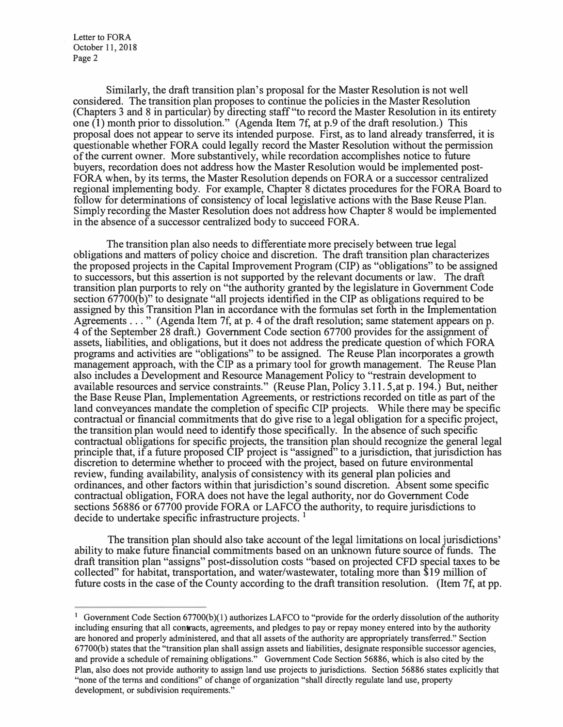Letter to FORA October 11, 2018 Page 2

Similarly, the draft transition plan's proposal for the Master Resolution is not well considered. The transition plan proposes to continue the policies in the Master Resolution (Chapters 3 and 8 in particular) by directing staff "to record the Master Resolution in its entirety one  $(1)$  month prior to dissolution." (Agenda Item 7f, at p.9 of the draft resolution.) This proposal does not appear to serve its intended purpose. First, as to land already transferred, it is questionable whether FORA could legally record the Master Resolution without the permission of the current owner. More substantively, while recordation accomplishes notice to future buyers, recordation does not address how the Master Resolution would be implemented post-FORA when, by its terms, the Master Resolution depends on FORA or a successor centralized regional implementing body. For example, Chapter 8 dictates procedures for the FORA Board to follow for determinations of consistency of local legislative actions with the Base Reuse Plan. Simply recording the Master Resolution does not address how Chapter 8 would be implemented in the absence of a successor centralized body to succeed FORA.

The transition plan also needs to differentiate more precisely between true legal obligations and matters of policy choice and discretion. The draft transition plan characterizes the proposed projects in the Capital Improvement Program (CIP) as "obligations" to be assigned to successors, but this assertion is not supported by the relevant documents or law. The draft transition plan purports to rely on "the authority granted by the legislature in Government Code section 67700(b)" to designate "all projects identified in the CIP as obligations required to be assigned by this Transition Plan in accordance with the formulas set forth in the Implementation Agreements . . . " (Agenda Item 7f, at p. 4 of the draft resolution; same statement appears on p. 4 of the September 28 draft.) Government Code section 67700 provides for the assignment of assets, liabilities, and obligations, but it does not address the predicate question of which FORA programs and activities are "obligations" to be assigned. The Reuse Plan incorporates a growth management approach, with the CIP as a primary tool for growth management. The Reuse Plan also includes a Development and Resource Management Policy to "restrain development to available resources and service constraints." (Reuse Plan, Policy 3.11.5, at p. 194.) But, neither the Base Reuse Plan, Implementation Agreements, or restrictions recorded on title as part of the land conveyances mandate the completion of specific CIP projects. While there may be specific contractual or financial commitments that do give rise to a legal obligation for a specific project, the transition plan would need to identify those specifically. In the absence of such specific contractual obligations for specific projects, the transition plan should recognize the general legal principle that, if a future proposed CIP project is "assigned" to a jurisdiction, that jurisdiction has discretion to determine whether to proceed with the project, based on future environmental review, funding availability, analysis of consistency with its general plan policies and ordinances, and other factors within that jurisdiction's sound discretion. Absent some specific contractual obligation, FORA does not have the legal authority, nor do Government Code sections 56886 or 67700 provide FORA or LAFCO the authority, to require jurisdictions to decide to undertake specific infrastructure projects. **<sup>1</sup>**

The transition plan should also take account of the legal limitations on local jurisdictions' ability to make future financial commitments based on an unknown future source of funds. The draft transition plan "assigns" post-dissolution costs "based on projected CFD special taxes to be collected" for habitat, transportation, and water/wastewater, totaling more than \$19 million of future costs in the case of the County according to the draft transition resolution. (Item 7f, at pp.

<sup>&</sup>lt;sup>1</sup> Government Code Section 67700(b)(1) authorizes LAFCO to "provide for the orderly dissolution of the authority including ensuring that all contracts, agreements, and pledges to pay or repay money entered into by the authority are honored and properly administered, and that all assets of the authority are appropriately transferred." Section 67700(b) states that the "transition plan shall assign assets and liabilities, designate responsible successor agencies, and provide a schedule of remaining obligations." Government Code Section 56886, which is also cited by the Plan, also does not provide authority to assign land use projects to jurisdictions. Section 56886 states explicitly that "none of the terms and conditions" of change of organization "shall directly regulate land use, property development, or subdivision requirements."